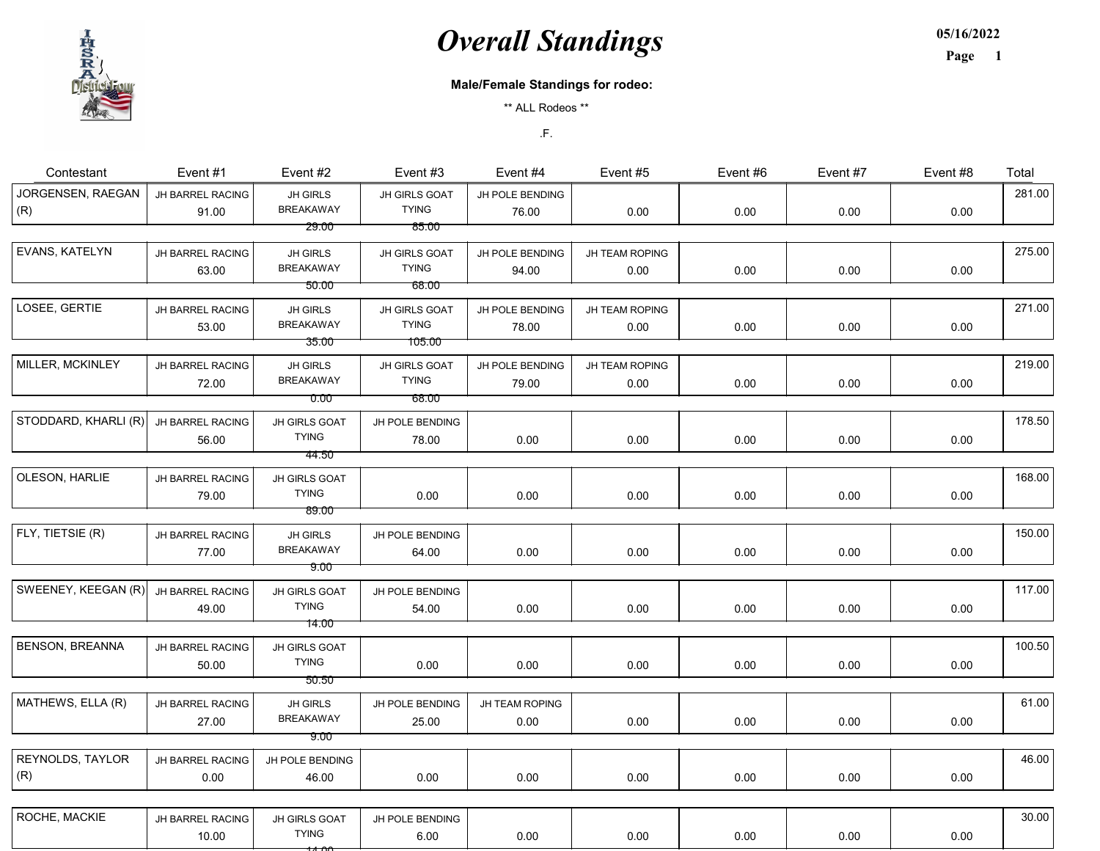## **Overall Standings**

05/16/2022



## Page 1

## Male/Female Standings for rodeo:

\*\* ALL Rodeos \*\*

.F.

| Contestant               | Event #1                         | Event #2                            | Event #3                      | Event #4                 | Event #5       | Event #6 | Event #7 | Event #8 | Total  |
|--------------------------|----------------------------------|-------------------------------------|-------------------------------|--------------------------|----------------|----------|----------|----------|--------|
| JORGENSEN, RAEGAN<br>(R) | <b>JH BARREL RACING</b><br>91.00 | <b>JH GIRLS</b><br><b>BREAKAWAY</b> | JH GIRLS GOAT<br><b>TYING</b> | JH POLE BENDING<br>76.00 | 0.00           | 0.00     | 0.00     | 0.00     | 281.00 |
|                          |                                  | 29.00                               | 85.00                         |                          |                |          |          |          |        |
| EVANS, KATELYN           | JH BARREL RACING                 | JH GIRLS                            | JH GIRLS GOAT                 | JH POLE BENDING          | JH TEAM ROPING |          |          |          | 275.00 |
|                          | 63.00                            | <b>BREAKAWAY</b>                    | <b>TYING</b>                  | 94.00                    | 0.00           | 0.00     | 0.00     | 0.00     |        |
|                          |                                  | 50.00                               | -68.00                        |                          |                |          |          |          |        |
| LOSEE, GERTIE            | JH BARREL RACING                 | <b>JH GIRLS</b>                     | JH GIRLS GOAT                 | JH POLE BENDING          | JH TEAM ROPING |          |          |          | 271.00 |
|                          | 53.00                            | <b>BREAKAWAY</b>                    | <b>TYING</b>                  | 78.00                    | 0.00           | 0.00     | 0.00     | 0.00     |        |
|                          |                                  | 35.00                               | 105.00                        |                          |                |          |          |          |        |
| MILLER, MCKINLEY         | JH BARREL RACING                 | JH GIRLS                            | JH GIRLS GOAT                 | JH POLE BENDING          | JH TEAM ROPING |          |          |          | 219.00 |
|                          | 72.00                            | <b>BREAKAWAY</b>                    | <b>TYING</b>                  | 79.00                    | 0.00           | 0.00     | 0.00     | 0.00     |        |
|                          |                                  | 0.00                                | 68.00                         |                          |                |          |          |          |        |
| STODDARD, KHARLI (R)     | JH BARREL RACING                 | JH GIRLS GOAT                       | JH POLE BENDING               |                          |                |          |          |          | 178.50 |
|                          | 56.00                            | <b>TYING</b>                        | 78.00                         | 0.00                     | 0.00           | 0.00     | 0.00     | 0.00     |        |
|                          |                                  | 44.50                               |                               |                          |                |          |          |          |        |
| OLESON, HARLIE           | JH BARREL RACING                 | JH GIRLS GOAT                       |                               |                          |                |          |          |          | 168.00 |
|                          | 79.00                            | <b>TYING</b>                        | 0.00                          | 0.00                     | 0.00           | 0.00     | 0.00     | 0.00     |        |
|                          |                                  | 89.00                               |                               |                          |                |          |          |          |        |
| FLY, TIETSIE (R)         | JH BARREL RACING                 | JH GIRLS                            | JH POLE BENDING               |                          |                |          |          |          | 150.00 |
|                          | 77.00                            | <b>BREAKAWAY</b>                    | 64.00                         | 0.00                     | 0.00           | 0.00     | 0.00     | 0.00     |        |
|                          |                                  | <u>9.00 </u>                        |                               |                          |                |          |          |          |        |
| SWEENEY, KEEGAN (R)      | JH BARREL RACING                 | JH GIRLS GOAT                       | JH POLE BENDING               |                          |                |          |          |          | 117.00 |
|                          | 49.00                            | <b>TYING</b>                        | 54.00                         | 0.00                     | 0.00           | 0.00     | 0.00     | 0.00     |        |
|                          |                                  | 14.00 <sup>-</sup>                  |                               |                          |                |          |          |          |        |
| BENSON, BREANNA          | JH BARREL RACING                 | JH GIRLS GOAT                       |                               |                          |                |          |          |          | 100.50 |
|                          | 50.00                            | <b>TYING</b>                        | 0.00                          | 0.00                     | 0.00           | 0.00     | 0.00     | 0.00     |        |
|                          |                                  | 50.50                               |                               |                          |                |          |          |          |        |
| MATHEWS, ELLA (R)        | JH BARREL RACING                 | JH GIRLS                            | JH POLE BENDING               | JH TEAM ROPING           |                |          |          |          | 61.00  |
|                          | 27.00                            | <b>BREAKAWAY</b>                    | 25.00                         | 0.00                     | 0.00           | 0.00     | 0.00     | 0.00     |        |
|                          |                                  | 9.00                                |                               |                          |                |          |          |          |        |
| REYNOLDS, TAYLOR         | JH BARREL RACING                 | JH POLE BENDING                     |                               |                          |                |          |          |          | 46.00  |
| (R)                      | 0.00                             | 46.00                               | 0.00                          | 0.00                     | 0.00           | 0.00     | 0.00     | 0.00     |        |
|                          |                                  |                                     |                               |                          |                |          |          |          |        |
| ROCHE, MACKIE            | JH BARREL RACING                 | JH GIRLS GOAT                       | JH POLE BENDING               |                          |                |          |          |          | 30.00  |
|                          | 10.00                            | <b>TYING</b>                        | 6.00                          | 0.00                     | 0.00           | 0.00     | 0.00     | 0.00     |        |

 $\rightarrow$